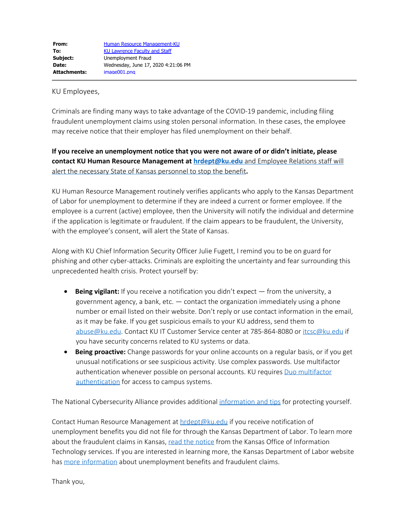## KU Employees,

Criminals are finding many ways to take advantage of the COVID-19 pandemic, including filing fraudulent unemployment claims using stolen personal information. In these cases, the employee may receive notice that their employer has filed unemployment on their behalf.

## **If you receive an unemployment notice that you were not aware of or didn't initiate, please contact KU Human Resource Management at [hrdept@ku.edu](mailto:hrdept@ku.edu?subject=Unemployment%20fraud)** and Employee Relations staff will alert the necessary State of Kansas personnel to stop the benefit**.**

KU Human Resource Management routinely verifies applicants who apply to the Kansas Department of Labor for unemployment to determine if they are indeed a current or former employee. If the employee is a current (active) employee, then the University will notify the individual and determine if the application is legitimate or fraudulent. If the claim appears to be fraudulent, the University, with the employee's consent, will alert the State of Kansas.

Along with KU Chief Information Security Officer Julie Fugett, I remind you to be on guard for phishing and other cyber-attacks. Criminals are exploiting the uncertainty and fear surrounding this unprecedented health crisis. Protect yourself by:

- · **Being vigilant:** If you receive a notification you didn't expect from the university, a government agency, a bank, etc. — contact the organization immediately using a phone number or email listed on their website. Don't reply or use contact information in the email, as it may be fake. If you get suspicious emails to your KU address, send them to [abuse@ku.edu.](mailto:abuse@ku.edu) Contact KU IT Customer Service center at 785-864-8080 or [itcsc@ku.edu](mailto:itcsc@ku.edu) if you have security concerns related to KU systems or data.
- · **Being proactive:** Change passwords for your online accounts on a regular basis, or if you get unusual notifications or see suspicious activity. Use complex passwords. Use multifactor authentication whenever possible on personal accounts. KU requires [Duo multifactor](https://itsecurity.ku.edu/mfa) [authentication](https://itsecurity.ku.edu/mfa) for access to campus systems.

The National Cybersecurity Alliance provides additional [information and tips](https://staysafeonline.org/stay-safe-online/) for protecting yourself.

Contact Human Resource Management at  $hrdept@ku.edu$  if you receive notification of unemployment benefits you did not file for through the Kansas Department of Labor. To learn more about the fraudulent claims in Kansas, [read the notice](https://humanresources.ku.edu/sites/humanresources.drupal.ku.edu/files/docs/Regents_UI_Fraud_Memo_6.5.20.pdf) from the Kansas Office of Information Technology services. If you are interested in learning more, the Kansas Department of Labor website has [more information](https://www.getkansasbenefits.gov/Home.aspx) about unemployment benefits and fraudulent claims.